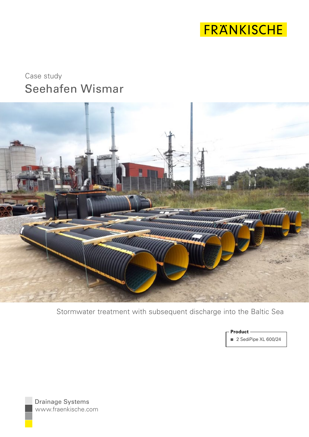

# Seehafen Wismar Case study



Stormwater treatment with subsequent discharge into the Baltic Sea

■ 2 SediPipe XL 600/24 **Product**

www.fraenkische.com Drainage Systems